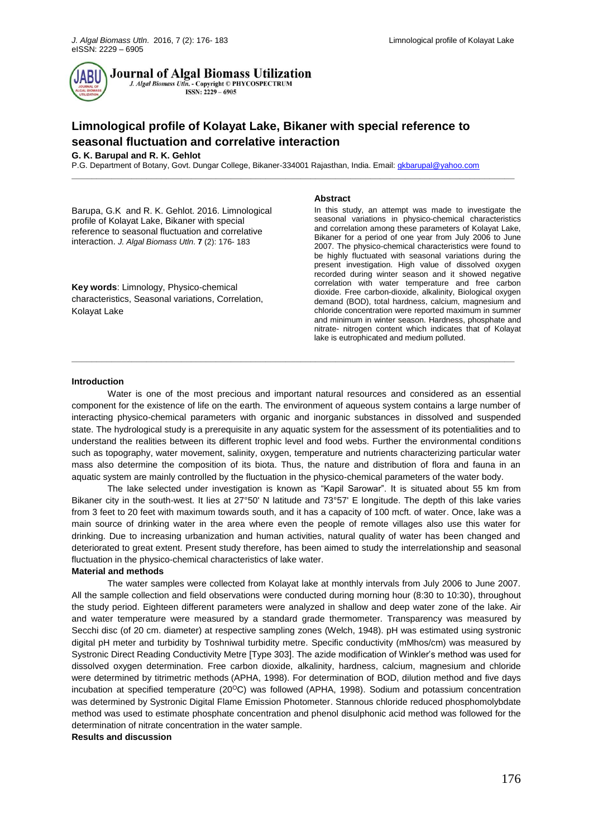

**Journal of Algal Biomass Utilization** 

J. Algal Biomass Utln. - Copyright © PHYCOSPECTRUM  $ISSN: 2229 - 6905$ 

# **Limnological profile of Kolayat Lake, Bikaner with special reference to seasonal fluctuation and correlative interaction**

## **G. K. Barupal and R. K. Gehlot**

P.G. Department of Botany, Govt. Dungar College, Bikaner-334001 Rajasthan, India. Email[: gkbarupal@yahoo.com](mailto:gkbarupal@yahoo.com)

**\_\_\_\_\_\_\_\_\_\_\_\_\_\_\_\_\_\_\_\_\_\_\_\_\_\_\_\_\_\_\_\_\_\_\_\_\_\_\_\_\_\_\_\_\_\_\_\_\_\_\_\_\_\_\_\_\_\_\_\_\_\_\_\_\_\_\_\_\_\_\_\_\_\_\_\_\_\_\_\_\_\_\_\_\_\_\_\_\_**

Barupa, G.K and R. K. Gehlot. 2016. Limnological profile of Kolayat Lake, Bikaner with special reference to seasonal fluctuation and correlative interaction. *J. Algal Biomass Utln*. **7** (2): 176- 183

**Key words**: Limnology, Physico-chemical characteristics, Seasonal variations, Correlation, Kolayat Lake

#### **Abstract**

In this study, an attempt was made to investigate the seasonal variations in physico-chemical characteristics and correlation among these parameters of Kolayat Lake, Bikaner for a period of one year from July 2006 to June 2007. The physico-chemical characteristics were found to be highly fluctuated with seasonal variations during the present investigation. High value of dissolved oxygen recorded during winter season and it showed negative correlation with water temperature and free carbon dioxide. Free carbon-dioxide, alkalinity, Biological oxygen demand (BOD), total hardness, calcium, magnesium and chloride concentration were reported maximum in summer and minimum in winter season. Hardness, phosphate and nitrate- nitrogen content which indicates that of Kolayat lake is eutrophicated and medium polluted.

#### **Introduction**

Water is one of the most precious and important natural resources and considered as an essential component for the existence of life on the earth. The environment of aqueous system contains a large number of interacting physico-chemical parameters with organic and inorganic substances in dissolved and suspended state. The hydrological study is a prerequisite in any aquatic system for the assessment of its potentialities and to understand the realities between its different trophic level and food webs. Further the environmental conditions such as topography, water movement, salinity, oxygen, temperature and nutrients characterizing particular water mass also determine the composition of its biota. Thus, the nature and distribution of flora and fauna in an aquatic system are mainly controlled by the fluctuation in the physico-chemical parameters of the water body.

**\_\_\_\_\_\_\_\_\_\_\_\_\_\_\_\_\_\_\_\_\_\_\_\_\_\_\_\_\_\_\_\_\_\_\_\_\_\_\_\_\_\_\_\_\_\_\_\_\_\_\_\_\_\_\_\_\_\_\_\_\_\_\_\_\_\_\_\_\_\_\_\_\_\_\_\_\_\_\_\_\_\_\_\_\_\_\_\_\_**

The lake selected under investigation is known as "Kapil Sarowar". It is situated about 55 km from Bikaner city in the south-west. It lies at 27°50' N latitude and 73°57' E longitude. The depth of this lake varies from 3 feet to 20 feet with maximum towards south, and it has a capacity of 100 mcft. of water. Once, lake was a main source of drinking water in the area where even the people of remote villages also use this water for drinking. Due to increasing urbanization and human activities, natural quality of water has been changed and deteriorated to great extent. Present study therefore, has been aimed to study the interrelationship and seasonal fluctuation in the physico-chemical characteristics of lake water.

## **Material and methods**

The water samples were collected from Kolayat lake at monthly intervals from July 2006 to June 2007. All the sample collection and field observations were conducted during morning hour (8:30 to 10:30), throughout the study period. Eighteen different parameters were analyzed in shallow and deep water zone of the lake. Air and water temperature were measured by a standard grade thermometer. Transparency was measured by Secchi disc (of 20 cm. diameter) at respective sampling zones (Welch, 1948). pH was estimated using systronic digital pH meter and turbidity by Toshniwal turbidity metre. Specific conductivity (mMhos/cm) was measured by Systronic Direct Reading Conductivity Metre [Type 303]. The azide modification of Winkler's method was used for dissolved oxygen determination. Free carbon dioxide, alkalinity, hardness, calcium, magnesium and chloride were determined by titrimetric methods (APHA, 1998). For determination of BOD, dilution method and five days incubation at specified temperature (20°C) was followed (APHA, 1998). Sodium and potassium concentration was determined by Systronic Digital Flame Emission Photometer. Stannous chloride reduced phosphomolybdate method was used to estimate phosphate concentration and phenol disulphonic acid method was followed for the determination of nitrate concentration in the water sample.

# **Results and discussion**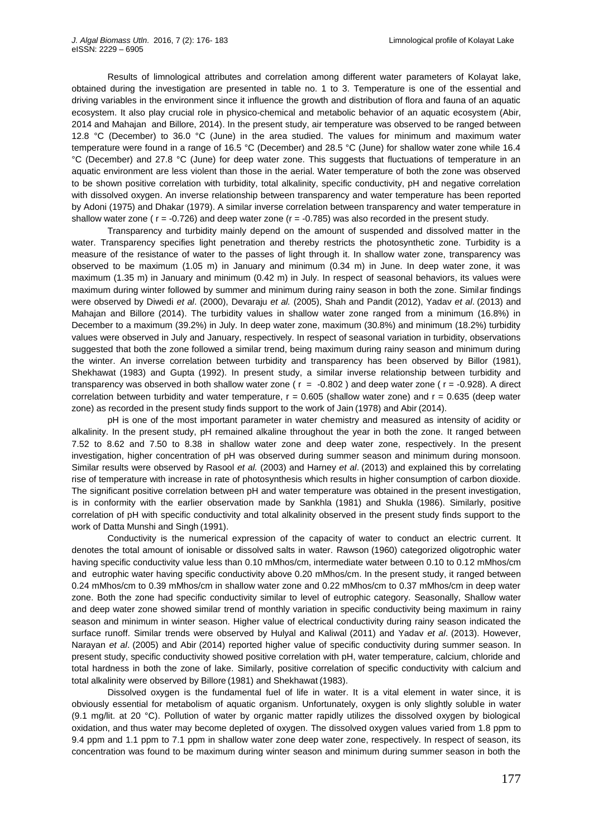Results of limnological attributes and correlation among different water parameters of Kolayat lake, obtained during the investigation are presented in table no. 1 to 3. Temperature is one of the essential and driving variables in the environment since it influence the growth and distribution of flora and fauna of an aquatic ecosystem. It also play crucial role in physico-chemical and metabolic behavior of an aquatic ecosystem (Abir, 2014 and Mahajan and Billore, 2014). In the present study, air temperature was observed to be ranged between 12.8 °C (December) to 36.0 °C (June) in the area studied. The values for minimum and maximum water temperature were found in a range of 16.5 °C (December) and 28.5 °C (June) for shallow water zone while 16.4 °C (December) and 27.8 °C (June) for deep water zone. This suggests that fluctuations of temperature in an aquatic environment are less violent than those in the aerial. Water temperature of both the zone was observed to be shown positive correlation with turbidity, total alkalinity, specific conductivity, pH and negative correlation with dissolved oxygen. An inverse relationship between transparency and water temperature has been reported by Adoni (1975) and Dhakar (1979). A similar inverse correlation between transparency and water temperature in shallow water zone ( $r = -0.726$ ) and deep water zone ( $r = -0.785$ ) was also recorded in the present study.

Transparency and turbidity mainly depend on the amount of suspended and dissolved matter in the water. Transparency specifies light penetration and thereby restricts the photosynthetic zone. Turbidity is a measure of the resistance of water to the passes of light through it. In shallow water zone, transparency was observed to be maximum (1.05 m) in January and minimum (0.34 m) in June. In deep water zone, it was maximum (1.35 m) in January and minimum (0.42 m) in July. In respect of seasonal behaviors, its values were maximum during winter followed by summer and minimum during rainy season in both the zone. Similar findings were observed by Diwedi *et al*. (2000), Devaraju *et al.* (2005), Shah and Pandit (2012), Yadav *et al*. (2013) and Mahajan and Billore (2014). The turbidity values in shallow water zone ranged from a minimum (16.8%) in December to a maximum (39.2%) in July. In deep water zone, maximum (30.8%) and minimum (18.2%) turbidity values were observed in July and January, respectively. In respect of seasonal variation in turbidity, observations suggested that both the zone followed a similar trend, being maximum during rainy season and minimum during the winter. An inverse correlation between turbidity and transparency has been observed by Billor (1981), Shekhawat (1983) and Gupta (1992). In present study, a similar inverse relationship between turbidity and transparency was observed in both shallow water zone ( $r = -0.802$ ) and deep water zone ( $r = -0.928$ ). A direct correlation between turbidity and water temperature,  $r = 0.605$  (shallow water zone) and  $r = 0.635$  (deep water zone) as recorded in the present study finds support to the work of Jain (1978) and Abir (2014).

pH is one of the most important parameter in water chemistry and measured as intensity of acidity or alkalinity. In the present study, pH remained alkaline throughout the year in both the zone. It ranged between 7.52 to 8.62 and 7.50 to 8.38 in shallow water zone and deep water zone, respectively. In the present investigation, higher concentration of pH was observed during summer season and minimum during monsoon. Similar results were observed by Rasool *et al.* (2003) and Harney *et al*. (2013) and explained this by correlating rise of temperature with increase in rate of photosynthesis which results in higher consumption of carbon dioxide. The significant positive correlation between pH and water temperature was obtained in the present investigation, is in conformity with the earlier observation made by Sankhla (1981) and Shukla (1986). Similarly, positive correlation of pH with specific conductivity and total alkalinity observed in the present study finds support to the work of Datta Munshi and Singh (1991).

Conductivity is the numerical expression of the capacity of water to conduct an electric current. It denotes the total amount of ionisable or dissolved salts in water. Rawson (1960) categorized oligotrophic water having specific conductivity value less than 0.10 mMhos/cm, intermediate water between 0.10 to 0.12 mMhos/cm and eutrophic water having specific conductivity above 0.20 mMhos/cm. In the present study, it ranged between 0.24 mMhos/cm to 0.39 mMhos/cm in shallow water zone and 0.22 mMhos/cm to 0.37 mMhos/cm in deep water zone. Both the zone had specific conductivity similar to level of eutrophic category. Seasonally, Shallow water and deep water zone showed similar trend of monthly variation in specific conductivity being maximum in rainy season and minimum in winter season. Higher value of electrical conductivity during rainy season indicated the surface runoff. Similar trends were observed by Hulyal and Kaliwal (2011) and Yadav *et al*. (2013). However, Narayan *et al*. (2005) and Abir (2014) reported higher value of specific conductivity during summer season. In present study, specific conductivity showed positive correlation with pH, water temperature, calcium, chloride and total hardness in both the zone of lake. Similarly, positive correlation of specific conductivity with calcium and total alkalinity were observed by Billore (1981) and Shekhawat (1983).

Dissolved oxygen is the fundamental fuel of life in water. It is a vital element in water since, it is obviously essential for metabolism of aquatic organism. Unfortunately, oxygen is only slightly soluble in water (9.1 mg/lit. at 20 °C). Pollution of water by organic matter rapidly utilizes the dissolved oxygen by biological oxidation, and thus water may become depleted of oxygen. The dissolved oxygen values varied from 1.8 ppm to 9.4 ppm and 1.1 ppm to 7.1 ppm in shallow water zone deep water zone, respectively. In respect of season, its concentration was found to be maximum during winter season and minimum during summer season in both the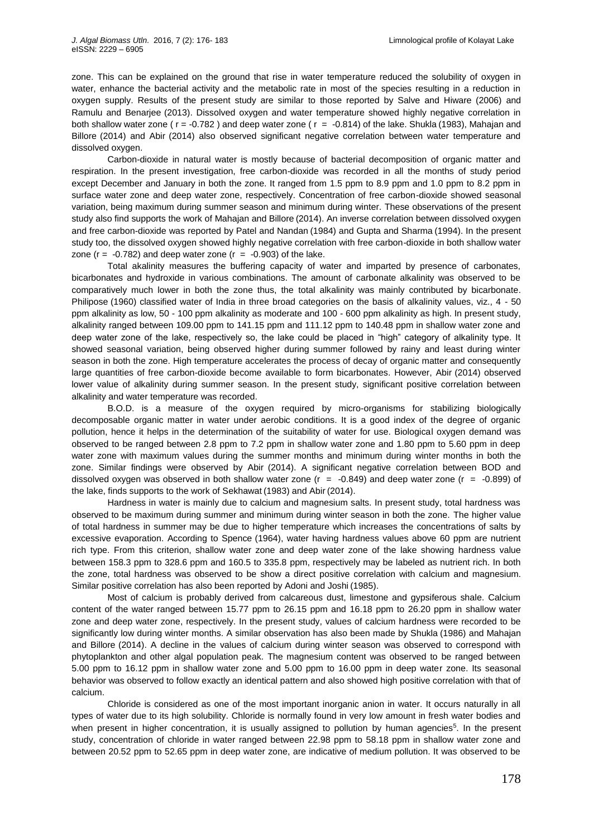zone. This can be explained on the ground that rise in water temperature reduced the solubility of oxygen in water, enhance the bacterial activity and the metabolic rate in most of the species resulting in a reduction in oxygen supply. Results of the present study are similar to those reported by Salve and Hiware (2006) and Ramulu and Benarjee (2013). Dissolved oxygen and water temperature showed highly negative correlation in both shallow water zone ( $r = -0.782$ ) and deep water zone ( $r = -0.814$ ) of the lake. Shukla (1983), Mahajan and Billore (2014) and Abir (2014) also observed significant negative correlation between water temperature and dissolved oxygen.

Carbon-dioxide in natural water is mostly because of bacterial decomposition of organic matter and respiration. In the present investigation, free carbon-dioxide was recorded in all the months of study period except December and January in both the zone. It ranged from 1.5 ppm to 8.9 ppm and 1.0 ppm to 8.2 ppm in surface water zone and deep water zone, respectively. Concentration of free carbon-dioxide showed seasonal variation, being maximum during summer season and minimum during winter. These observations of the present study also find supports the work of Mahajan and Billore (2014). An inverse correlation between dissolved oxygen and free carbon-dioxide was reported by Patel and Nandan (1984) and Gupta and Sharma (1994). In the present study too, the dissolved oxygen showed highly negative correlation with free carbon-dioxide in both shallow water zone ( $r = -0.782$ ) and deep water zone ( $r = -0.903$ ) of the lake.

Total akalinity measures the buffering capacity of water and imparted by presence of carbonates, bicarbonates and hydroxide in various combinations. The amount of carbonate alkalinity was observed to be comparatively much lower in both the zone thus, the total alkalinity was mainly contributed by bicarbonate. Philipose (1960) classified water of India in three broad categories on the basis of alkalinity values, viz., 4 - 50 ppm alkalinity as low, 50 - 100 ppm alkalinity as moderate and 100 - 600 ppm alkalinity as high. In present study, alkalinity ranged between 109.00 ppm to 141.15 ppm and 111.12 ppm to 140.48 ppm in shallow water zone and deep water zone of the lake, respectively so, the lake could be placed in "high" category of alkalinity type. It showed seasonal variation, being observed higher during summer followed by rainy and least during winter season in both the zone. High temperature accelerates the process of decay of organic matter and consequently large quantities of free carbon-dioxide become available to form bicarbonates. However, Abir (2014) observed lower value of alkalinity during summer season. In the present study, significant positive correlation between alkalinity and water temperature was recorded.

B.O.D. is a measure of the oxygen required by micro-organisms for stabilizing biologically decomposable organic matter in water under aerobic conditions. It is a good index of the degree of organic pollution, hence it helps in the determination of the suitability of water for use. Biological oxygen demand was observed to be ranged between 2.8 ppm to 7.2 ppm in shallow water zone and 1.80 ppm to 5.60 ppm in deep water zone with maximum values during the summer months and minimum during winter months in both the zone. Similar findings were observed by Abir (2014). A significant negative correlation between BOD and dissolved oxygen was observed in both shallow water zone ( $r = -0.849$ ) and deep water zone ( $r = -0.899$ ) of the lake, finds supports to the work of Sekhawat (1983) and Abir (2014).

Hardness in water is mainly due to calcium and magnesium salts. In present study, total hardness was observed to be maximum during summer and minimum during winter season in both the zone. The higher value of total hardness in summer may be due to higher temperature which increases the concentrations of salts by excessive evaporation. According to Spence (1964), water having hardness values above 60 ppm are nutrient rich type. From this criterion, shallow water zone and deep water zone of the lake showing hardness value between 158.3 ppm to 328.6 ppm and 160.5 to 335.8 ppm, respectively may be labeled as nutrient rich. In both the zone, total hardness was observed to be show a direct positive correlation with calcium and magnesium. Similar positive correlation has also been reported by Adoni and Joshi (1985).

Most of calcium is probably derived from calcareous dust, limestone and gypsiferous shale. Calcium content of the water ranged between 15.77 ppm to 26.15 ppm and 16.18 ppm to 26.20 ppm in shallow water zone and deep water zone, respectively. In the present study, values of calcium hardness were recorded to be significantly low during winter months. A similar observation has also been made by Shukla (1986) and Mahajan and Billore (2014). A decline in the values of calcium during winter season was observed to correspond with phytoplankton and other algal population peak. The magnesium content was observed to be ranged between 5.00 ppm to 16.12 ppm in shallow water zone and 5.00 ppm to 16.00 ppm in deep water zone. Its seasonal behavior was observed to follow exactly an identical pattern and also showed high positive correlation with that of calcium.

Chloride is considered as one of the most important inorganic anion in water. It occurs naturally in all types of water due to its high solubility. Chloride is normally found in very low amount in fresh water bodies and when present in higher concentration, it is usually assigned to pollution by human agencies<sup>5</sup>. In the present study, concentration of chloride in water ranged between 22.98 ppm to 58.18 ppm in shallow water zone and between 20.52 ppm to 52.65 ppm in deep water zone, are indicative of medium pollution. It was observed to be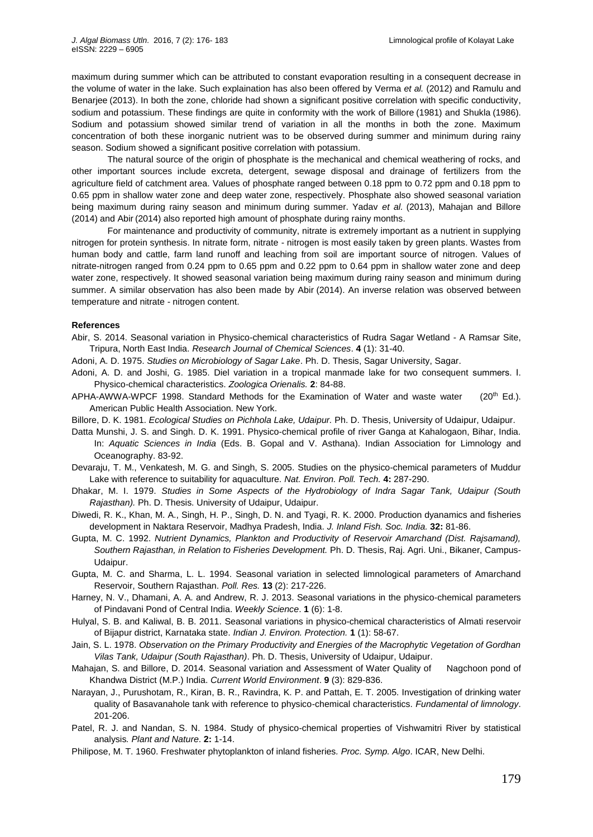maximum during summer which can be attributed to constant evaporation resulting in a consequent decrease in the volume of water in the lake. Such explaination has also been offered by Verma *et al.* (2012) and Ramulu and Benarjee (2013). In both the zone, chloride had shown a significant positive correlation with specific conductivity, sodium and potassium. These findings are quite in conformity with the work of Billore (1981) and Shukla (1986). Sodium and potassium showed similar trend of variation in all the months in both the zone. Maximum concentration of both these inorganic nutrient was to be observed during summer and minimum during rainy season. Sodium showed a significant positive correlation with potassium.

The natural source of the origin of phosphate is the mechanical and chemical weathering of rocks, and other important sources include excreta, detergent, sewage disposal and drainage of fertilizers from the agriculture field of catchment area. Values of phosphate ranged between 0.18 ppm to 0.72 ppm and 0.18 ppm to 0.65 ppm in shallow water zone and deep water zone, respectively. Phosphate also showed seasonal variation being maximum during rainy season and minimum during summer. Yadav *et al.* (2013), Mahajan and Billore (2014) and Abir (2014) also reported high amount of phosphate during rainy months.

For maintenance and productivity of community, nitrate is extremely important as a nutrient in supplying nitrogen for protein synthesis. In nitrate form, nitrate - nitrogen is most easily taken by green plants. Wastes from human body and cattle, farm land runoff and leaching from soil are important source of nitrogen. Values of nitrate-nitrogen ranged from 0.24 ppm to 0.65 ppm and 0.22 ppm to 0.64 ppm in shallow water zone and deep water zone, respectively. It showed seasonal variation being maximum during rainy season and minimum during summer. A similar observation has also been made by Abir (2014). An inverse relation was observed between temperature and nitrate - nitrogen content.

### **References**

- Abir, S. 2014. Seasonal variation in Physico-chemical characteristics of Rudra Sagar Wetland A Ramsar Site, Tripura, North East India. *Research Journal of Chemical Sciences*. **4** (1): 31-40.
- Adoni, A. D. 1975. *Studies on Microbiology of Sagar Lake*. Ph. D. Thesis, Sagar University, Sagar.
- Adoni, A. D. and Joshi, G. 1985. Diel variation in a tropical manmade lake for two consequent summers. Ι. Physico-chemical characteristics. *Zoologica Orienalis.* **2**: 84-88.
- APHA-AWWA-WPCF 1998. Standard Methods for the Examination of Water and waste water (20<sup>th</sup> Ed.). American Public Health Association. New York.
- Billore, D. K. 1981. *Ecological Studies on Pichhola Lake, Udaipur.* Ph. D. Thesis, University of Udaipur, Udaipur.
- Datta Munshi, J. S. and Singh. D. K. 1991. Physico-chemical profile of river Ganga at Kahalogaon, Bihar, India. In: *Aquatic Sciences in India* (Eds. B. Gopal and V. Asthana). Indian Association for Limnology and Oceanography. 83-92.
- Devaraju, T. M., Venkatesh, M. G. and Singh, S. 2005. Studies on the physico-chemical parameters of Muddur Lake with reference to suitability for aquaculture. *Nat. Environ. Poll. Tech.* **4:** 287-290.
- Dhakar, M. I. 1979. *Studies in Some Aspects of the Hydrobiology of Indra Sagar Tank, Udaipur (South Rajasthan).* Ph. D. Thesis. University of Udaipur, Udaipur.
- Diwedi, R. K., Khan, M. A., Singh, H. P., Singh, D. N. and Tyagi, R. K. 2000. Production dyanamics and fisheries development in Naktara Reservoir, Madhya Pradesh, India. *J. Inland Fish. Soc. India.* **32:** 81-86.
- Gupta, M. C. 1992. *Nutrient Dynamics, Plankton and Productivity of Reservoir Amarchand (Dist. Rajsamand), Southern Rajasthan, in Relation to Fisheries Development.* Ph. D. Thesis, Raj. Agri. Uni., Bikaner, Campus-Udaipur.
- Gupta, M. C. and Sharma, L. L. 1994. Seasonal variation in selected limnological parameters of Amarchand Reservoir, Southern Rajasthan. *Poll. Res.* **13** (2): 217-226.
- Harney, N. V., Dhamani, A. A. and Andrew, R. J. 2013. Seasonal variations in the physico-chemical parameters of Pindavani Pond of Central India. *Weekly Science*. **1** (6): 1-8.
- Hulyal, S. B. and Kaliwal, B. B. 2011. Seasonal variations in physico-chemical characteristics of Almati reservoir of Bijapur district, Karnataka state. *Indian J. Environ. Protection.* **1** (1): 58-67.
- Jain, S. L. 1978. *Observation on the Primary Productivity and Energies of the Macrophytic Vegetation of Gordhan Vilas Tank, Udaipur (South Rajasthan)*. Ph. D. Thesis, University of Udaipur, Udaipur.
- Mahajan, S. and Billore, D. 2014. Seasonal variation and Assessment of Water Quality of Nagchoon pond of Khandwa District (M.P.) India. *Current World Environment*. **9** (3): 829-836.
- Narayan, J., Purushotam, R., Kiran, B. R., Ravindra, K. P. and Pattah, E. T. 2005. Investigation of drinking water quality of Basavanahole tank with reference to physico-chemical characteristics. *Fundamental of limnology*. 201-206.
- Patel, R. J. and Nandan, S. N. 1984. Study of physico-chemical properties of Vishwamitri River by statistical analysis*. Plant and Nature*. **2:** 1-14.
- Philipose, M. T. 1960. Freshwater phytoplankton of inland fisheries*. Proc. Symp. Algo*. ICAR, New Delhi.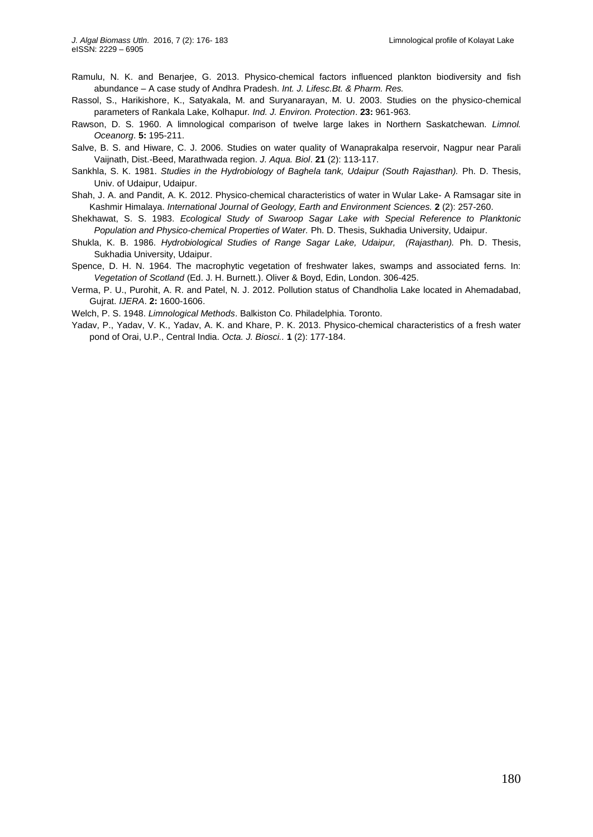- Ramulu, N. K. and Benarjee, G. 2013. Physico-chemical factors influenced plankton biodiversity and fish abundance – A case study of Andhra Pradesh. *Int. J. Lifesc.Bt. & Pharm. Res.*
- Rassol, S., Harikishore, K., Satyakala, M. and Suryanarayan, M. U. 2003. Studies on the physico-chemical parameters of Rankala Lake, Kolhapur*. Ind. J. Environ. Protection*. **23:** 961-963.
- Rawson, D. S. 1960. A limnological comparison of twelve large lakes in Northern Saskatchewan. *Limnol. Oceanorg*. **5:** 195-211.
- Salve, B. S. and Hiware, C. J. 2006. Studies on water quality of Wanaprakalpa reservoir, Nagpur near Parali Vaijnath, Dist.-Beed, Marathwada region. *J. Aqua. Biol*. **21** (2): 113-117.
- Sankhla, S. K. 1981. *Studies in the Hydrobiology of Baghela tank, Udaipur (South Rajasthan).* Ph. D. Thesis, Univ. of Udaipur, Udaipur.
- Shah, J. A. and Pandit, A. K. 2012. Physico-chemical characteristics of water in Wular Lake- A Ramsagar site in Kashmir Himalaya. *International Journal of Geology, Earth and Environment Sciences.* **2** (2): 257-260.
- Shekhawat, S. S. 1983. *Ecological Study of Swaroop Sagar Lake with Special Reference to Planktonic Population and Physico-chemical Properties of Water.* Ph. D. Thesis, Sukhadia University, Udaipur.
- Shukla, K. B. 1986. *Hydrobiological Studies of Range Sagar Lake, Udaipur, (Rajasthan).* Ph. D. Thesis, Sukhadia University, Udaipur.
- Spence, D. H. N. 1964. The macrophytic vegetation of freshwater lakes, swamps and associated ferns. In: *Vegetation of Scotland* (Ed. J. H. Burnett.). Oliver & Boyd, Edin, London. 306-425.
- Verma, P. U., Purohit, A. R. and Patel, N. J. 2012. Pollution status of Chandholia Lake located in Ahemadabad, Gujrat. *IJERA*. **2:** 1600-1606.
- Welch, P. S. 1948. *Limnological Methods*. Balkiston Co. Philadelphia. Toronto.
- Yadav, P., Yadav, V. K., Yadav, A. K. and Khare, P. K. 2013. Physico-chemical characteristics of a fresh water pond of Orai, U.P., Central India. *Octa. J. Biosci..* **1** (2): 177-184.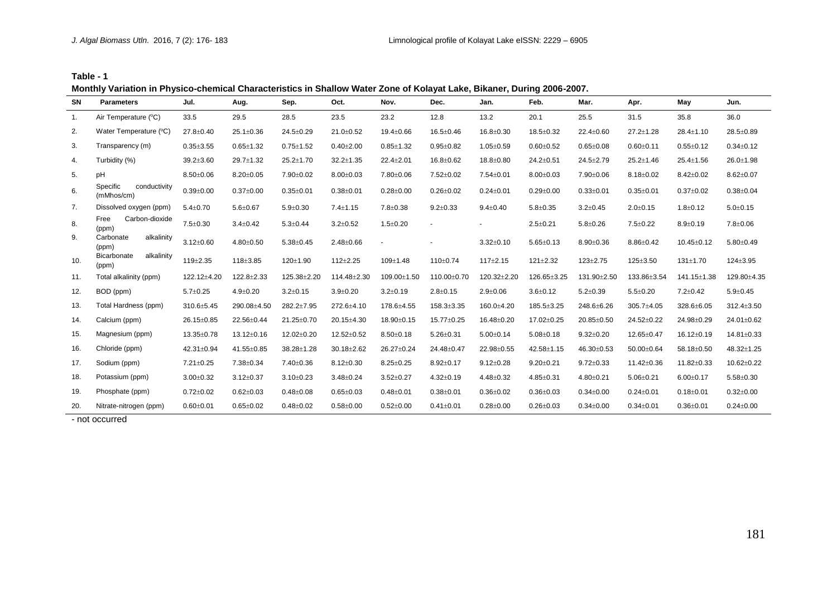**Table - 1**

**Monthly Variation in Physico-chemical Characteristics in Shallow Water Zone of Kolayat Lake, Bikaner, During 2006-2007.**

| <b>SN</b> | <b>Parameters</b>                      | Jul.            | Aug.            | Sep.            | Oct.            | Nov.            | Dec.             | Jan.            | Feb.             | Mar.            | Apr.             | May              | Jun.             |
|-----------|----------------------------------------|-----------------|-----------------|-----------------|-----------------|-----------------|------------------|-----------------|------------------|-----------------|------------------|------------------|------------------|
| 1.        | Air Temperature (°C)                   | 33.5            | 29.5            | 28.5            | 23.5            | 23.2            | 12.8             | 13.2            | 20.1             | 25.5            | 31.5             | 35.8             | 36.0             |
| 2.        | Water Temperature (°C)                 | 27.8±0.40       | 25.1±0.36       | 24.5±0.29       | 21.0±0.52       | 19.4±0.66       | 16.5±0.46        | 16.8±0.30       | 18.5±0.32        | 22.4±0.60       | $27.2 \pm 1.28$  | 28.4±1.10        | 28.5±0.89        |
| 3.        | Transparency (m)                       | $0.35 + 3.55$   | $0.65 \pm 1.32$ | $0.75 \pm 1.52$ | $0.40 \pm 2.00$ | $0.85 \pm 1.32$ | $0.95 \pm 0.82$  | $1.05 \pm 0.59$ | $0.60 + 0.52$    | $0.65 \pm 0.08$ | $0.60 \pm 0.11$  | $0.55 \pm 0.12$  | $0.34 \pm 0.12$  |
| 4.        | Turbidity (%)                          | $39.2 \pm 3.60$ | 29.7±1.32       | 25.2±1.70       | $32.2 \pm 1.35$ | 22.4±2.01       | 16.8±0.62        | 18.8±0.80       | $24.2 \pm 0.51$  | 24.5±2.79       | $25.2 \pm 1.46$  | $25.4 \pm 1.56$  | 26.0±1.98        |
| 5.        | pH                                     | $8.50 \pm 0.06$ | $8.20 \pm 0.05$ | 7.90±0.02       | $8.00 \pm 0.03$ | 7.80±0.06       | $7.52 \pm 0.02$  | 7.54±0.01       | $8.00 \pm 0.03$  | 7.90±0.06       | $8.18 \pm 0.02$  | $8.42 \pm 0.02$  | $8.62{\pm}0.07$  |
| 6.        | Specific<br>conductivity<br>(mMhos/cm) | $0.39 + 0.00$   | $0.37 \pm 0.00$ | $0.35 \pm 0.01$ | $0.38 + 0.01$   | $0.28 + 0.00$   | $0.26 \pm 0.02$  | $0.24 \pm 0.01$ | $0.29 \pm 0.00$  | $0.33 \pm 0.01$ | $0.35 \pm 0.01$  | $0.37 \pm 0.02$  | $0.38 + 0.04$    |
| 7.        | Dissolved oxygen (ppm)                 | $5.4 \pm 0.70$  | $5.6 \pm 0.67$  | $5.9 \pm 0.30$  | $7.4 \pm 1.15$  | $7.8 \pm 0.38$  | $9.2 \pm 0.33$   | $9.4 \pm 0.40$  | $5.8 \pm 0.35$   | $3.2 \pm 0.45$  | $2.0 \pm 0.15$   | $1.8 \pm 0.12$   | $5.0 \pm 0.15$   |
| 8.        | Carbon-dioxide<br>Free<br>(ppm)        | $7.5 \pm 0.30$  | $3.4 \pm 0.42$  | $5.3 \pm 0.44$  | $3.2 \pm 0.52$  | $1.5 \pm 0.20$  |                  |                 | $2.5 \pm 0.21$   | $5.8 \pm 0.26$  | $7.5 \pm 0.22$   | $8.9 \pm 0.19$   | $7.8 \pm 0.06$   |
| 9.        | Carbonate<br>alkalinity<br>(ppm)       | $3.12 \pm 0.60$ | $4.80 + 0.50$   | $5.38 \pm 0.45$ | $2.48 \pm 0.66$ | $\blacksquare$  |                  | $3.32 \pm 0.10$ | $5.65 \pm 0.13$  | $8.90 \pm 0.36$ | $8.86 \pm 0.42$  | $10.45 \pm 0.12$ | $5.80 \pm 0.49$  |
| 10.       | Bicarbonate<br>alkalinity<br>(ppm)     | 119±2.35        | 118±3.85        | 120±1.90        | $112 + 2.25$    | 109±1.48        | 110±0.74         | $117 \pm 2.15$  | $121 \pm 2.32$   | $123 \pm 2.75$  | 125±3.50         | 131±1.70         | 124±3.95         |
| 11.       | Total alkalinity (ppm)                 | 122.12±4.20     | $122.8 + 2.33$  | 125.38±2.20     | 114.48±2.30     | 109.00±1.50     | 110.00±0.70      | 120.32±2.20     | 126.65±3.25      | 131.90±2.50     | 133.86±3.54      | 141.15±1.38      | 129.80±4.35      |
| 12.       | BOD (ppm)                              | $5.7 \pm 0.25$  | $4.9 \pm 0.20$  | $3.2 \pm 0.15$  | $3.9 \pm 0.20$  | $3.2 \pm 0.19$  | $2.8 \pm 0.15$   | $2.9 \pm 0.06$  | $3.6 \pm 0.12$   | $5.2 \pm 0.39$  | $5.5 \pm 0.20$   | $7.2 \pm 0.42$   | $5.9 \pm 0.45$   |
| 13.       | Total Hardness (ppm)                   | 310.6±5.45      | 290.08±4.50     | 282.2±7.95      | 272.6±4.10      | 178.6±4.55      | $158.3 \pm 3.35$ | 160.0±4.20      | $185.5 \pm 3.25$ | 248.6±6.26      | $305.7 + 4.05$   | 328.6±6.05       | $312.4 \pm 3.50$ |
| 14.       | Calcium (ppm)                          | 26.15±0.85      | 22.56±0.44      | 21.25±0.70      | 20.15±4.30      | 18.90±0.15      | 15.77±0.25       | 16.48±0.20      | 17.02±0.25       | 20.85±0.50      | 24.52±0.22       | 24.98±0.29       | 24.01±0.62       |
| 15.       | Magnesium (ppm)                        | 13.35±0.78      | 13.12±0.16      | 12.02±0.20      | 12.52±0.52      | $8.50 \pm 0.18$ | $5.26 \pm 0.31$  | $5.00 \pm 0.14$ | $5.08 \pm 0.18$  | $9.32 \pm 0.20$ | 12.65±0.47       | 16.12±0.19       | 14.81±0.33       |
| 16.       | Chloride (ppm)                         | 42.31±0.94      | 41.55±0.85      | 38.28±1.28      | 30.18±2.62      | 26.27±0.24      | 24.48±0.47       | 22.98±0.55      | 42.58±1.15       | 46.30±0.53      | 50.00±0.64       | 58.18±0.50       | 48.32±1.25       |
| 17.       | Sodium (ppm)                           | $7.21 \pm 0.25$ | 7.38±0.34       | 7.40±0.36       | $8.12 \pm 0.30$ | $8.25 \pm 0.25$ | $8.92 \pm 0.17$  | $9.12 \pm 0.28$ | $9.20 \pm 0.21$  | $9.72 \pm 0.33$ | $11.42 \pm 0.36$ | $11.82 \pm 0.33$ | 10.62±0.22       |
| 18.       | Potassium (ppm)                        | $3.00 \pm 0.32$ | $3.12 \pm 0.37$ | $3.10 \pm 0.23$ | $3.48 \pm 0.24$ | $3.52 \pm 0.27$ | $4.32 \pm 0.19$  | $4.48 \pm 0.32$ | $4.85 \pm 0.31$  | $4.80 \pm 0.21$ | $5.06 \pm 0.21$  | $6.00 \pm 0.17$  | $5.58 \pm 0.30$  |
| 19.       | Phosphate (ppm)                        | $0.72 \pm 0.02$ | $0.62 \pm 0.03$ | $0.48 + 0.08$   | $0.65 \pm 0.03$ | $0.48 + 0.01$   | $0.38 + 0.01$    | $0.36 \pm 0.02$ | $0.36 \pm 0.03$  | $0.34 \pm 0.00$ | $0.24 \pm 0.01$  | $0.18 + 0.01$    | $0.32 \pm 0.00$  |
| 20.       | Nitrate-nitrogen (ppm)                 | $0.60 + 0.01$   | $0.65 \pm 0.02$ | $0.48 \pm 0.02$ | $0.58 + 0.00$   | $0.52 \pm 0.00$ | $0.41 \pm 0.01$  | $0.28 + 0.00$   | $0.26 \pm 0.03$  | $0.34 \pm 0.00$ | $0.34 \pm 0.01$  | $0.36 + 0.01$    | $0.24 \pm 0.00$  |

- not occurred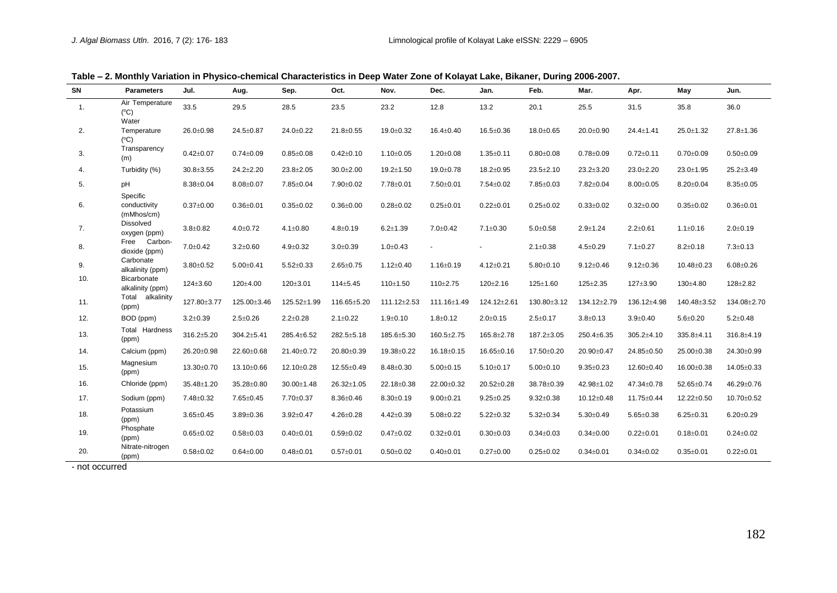| SN  | <b>Parameters</b>                         | Jul.            | Aug.            | Sep.             | Oct.            | Nov.              | Dec.             | Jan.            | Feb.            | Mar.            | Apr.            | May             | Jun.            |
|-----|-------------------------------------------|-----------------|-----------------|------------------|-----------------|-------------------|------------------|-----------------|-----------------|-----------------|-----------------|-----------------|-----------------|
| 1.  | Air Temperature<br>$(^{\circ}C)$<br>Water | 33.5            | 29.5            | 28.5             | 23.5            | 23.2              | 12.8             | 13.2            | 20.1            | 25.5            | 31.5            | 35.8            | 36.0            |
| 2.  | Temperature<br>(C)                        | 26.0±0.98       | 24.5±0.87       | 24.0±0.22        | $21.8 \pm 0.55$ | 19.0±0.32         | $16.4 \pm 0.40$  | 16.5±0.36       | 18.0±0.65       | 20.0±0.90       | $24.4 \pm 1.41$ | 25.0±1.32       | 27.8±1.36       |
| 3.  | Transparency<br>(m)                       | $0.42 \pm 0.07$ | $0.74 \pm 0.09$ | $0.85 \pm 0.08$  | $0.42 \pm 0.10$ | $1.10 \pm 0.05$   | $1.20 \pm 0.08$  | $1.35 \pm 0.11$ | $0.80 \pm 0.08$ | $0.78 + 0.09$   | $0.72 \pm 0.11$ | $0.70 \pm 0.09$ | $0.50 \pm 0.09$ |
| 4.  | Turbidity (%)                             | $30.8 + 3.55$   | $24.2 + 2.20$   | $23.8 \pm 2.05$  | $30.0 + 2.00$   | $19.2 \pm 1.50$   | 19.0±0.78        | $18.2 \pm 0.95$ | $23.5 \pm 2.10$ | $23.2 \pm 3.20$ | 23.0±2.20       | 23.0±1.95       | $25.2 \pm 3.49$ |
| 5.  | pH                                        | $8.38 \pm 0.04$ | $8.08 \pm 0.07$ | 7.85±0.04        | 7.90±0.02       | 7.78±0.01         | 7.50±0.01        | 7.54±0.02       | 7.85±0.03       | 7.82±0.04       | $8.00 \pm 0.05$ | $8.20 \pm 0.04$ | $8.35 \pm 0.05$ |
| 6.  | Specific<br>conductivity<br>(mMhos/cm)    | $0.37 \pm 0.00$ | $0.36 \pm 0.01$ | $0.35 \pm 0.02$  | $0.36 + 0.00$   | $0.28 + 0.02$     | $0.25 \pm 0.01$  | $0.22 \pm 0.01$ | $0.25 \pm 0.02$ | $0.33 \pm 0.02$ | $0.32 \pm 0.00$ | $0.35 \pm 0.02$ | $0.36 + 0.01$   |
| 7.  | <b>Dissolved</b><br>oxygen (ppm)          | $3.8 \pm 0.82$  | $4.0 \pm 0.72$  | $4.1 \pm 0.80$   | $4.8 \pm 0.19$  | $6.2 \pm 1.39$    | $7.0 \pm 0.42$   | $7.1 \pm 0.30$  | $5.0 \pm 0.58$  | $2.9 \pm 1.24$  | $2.2 \pm 0.61$  | $1.1 \pm 0.16$  | $2.0 \pm 0.19$  |
| 8.  | Carbon-<br>Free<br>dioxide (ppm)          | $7.0 \pm 0.42$  | $3.2 \pm 0.60$  | $4.9 \pm 0.32$   | $3.0 \pm 0.39$  | $1.0 \pm 0.43$    |                  |                 | $2.1 \pm 0.38$  | $4.5 \pm 0.29$  | $7.1 \pm 0.27$  | $8.2 \pm 0.18$  | $7.3 \pm 0.13$  |
| 9.  | Carbonate<br>alkalinity (ppm)             | $3.80 \pm 0.52$ | $5.00 \pm 0.41$ | $5.52 \pm 0.33$  | $2.65 \pm 0.75$ | $1.12 \pm 0.40$   | $1.16 \pm 0.19$  | $4.12 \pm 0.21$ | $5.80 \pm 0.10$ | $9.12 \pm 0.46$ | $9.12 \pm 0.36$ | 10.48±0.23      | $6.08 \pm 0.26$ |
| 10. | Bicarbonate<br>alkalinity (ppm)           | 124±3.60        | 120±4.00        | 120±3.01         | 114±5.45        | 110±1.50          | 110±2.75         | 120±2.16        | 125±1.60        | $125 \pm 2.35$  | 127±3.90        | 130±4.80        | $128 + 2.82$    |
| 11. | Total<br>alkalinity<br>(ppm)              | 127.80±3.77     | 125.00±3.46     | 125.52±1.99      | 116.65±5.20     | $111.12 \pm 2.53$ | 111.16±1.49      | 124.12±2.61     | 130.80±3.12     | 134.12±2.79     | 136.12±4.98     | 140.48±3.52     | 134.08±2.70     |
| 12. | BOD (ppm)                                 | $3.2 \pm 0.39$  | $2.5 \pm 0.26$  | $2.2 \pm 0.28$   | $2.1 \pm 0.22$  | $1.9 + 0.10$      | $1.8 \pm 0.12$   | $2.0 \pm 0.15$  | $2.5 \pm 0.17$  | $3.8 \pm 0.13$  | $3.9 \pm 0.40$  | $5.6 \pm 0.20$  | $5.2 \pm 0.48$  |
| 13. | Total Hardness<br>(ppm)                   | 316.2±5.20      | 304.2±5.41      | 285.4±6.52       | 282.5±5.18      | 185.6±5.30        | $160.5 \pm 2.75$ | 165.8±2.78      | 187.2±3.05      | 250.4±6.35      | 305.2±4.10      | 335.8±4.11      | 316.8±4.19      |
| 14. | Calcium (ppm)                             | 26.20±0.98      | 22.60±0.68      | 21.40±0.72       | 20.80±0.39      | 19.38±0.22        | 16.18±0.15       | 16.65±0.16      | 17.50±0.20      | 20.90±0.47      | 24.85±0.50      | 25.00±0.38      | 24.30±0.99      |
| 15. | Magnesium<br>(ppm)                        | 13.30±0.70      | 13.10±0.66      | 12.10±0.28       | 12.55±0.49      | $8.48 \pm 0.30$   | $5.00 \pm 0.15$  | $5.10 \pm 0.17$ | $5.00 \pm 0.10$ | $9.35 \pm 0.23$ | 12.60±0.40      | $16.00 + 0.38$  | 14.05±0.33      |
| 16. | Chloride (ppm)                            | 35.48±1.20      | 35.28±0.80      | $30.00 \pm 1.48$ | 26.32±1.05      | 22.18±0.38        | 22.00±0.32       | 20.52±0.28      | 38.78±0.39      | 42.98±1.02      | 47.34±0.78      | 52.65±0.74      | 46.29±0.76      |
| 17. | Sodium (ppm)                              | 7.48±0.32       | 7.65±0.45       | 7.70±0.37        | $8.36 \pm 0.46$ | $8.30 \pm 0.19$   | $9.00 \pm 0.21$  | $9.25 \pm 0.25$ | $9.32 \pm 0.38$ | 10.12±0.48      | 11.75±0.44      | 12.22±0.50      | 10.70±0.52      |
| 18. | Potassium<br>(ppm)                        | $3.65 \pm 0.45$ | $3.89 \pm 0.36$ | $3.92 \pm 0.47$  | $4.26 \pm 0.28$ | $4.42 \pm 0.39$   | $5.08 \pm 0.22$  | $5.22 \pm 0.32$ | $5.32 \pm 0.34$ | $5.30 \pm 0.49$ | $5.65 \pm 0.38$ | $6.25 \pm 0.31$ | $6.20 \pm 0.29$ |
| 19. | Phosphate<br>(ppm)                        | $0.65 \pm 0.02$ | $0.58 + 0.03$   | $0.40 + 0.01$    | $0.59 \pm 0.02$ | $0.47 \pm 0.02$   | $0.32 \pm 0.01$  | $0.30 \pm 0.03$ | $0.34 \pm 0.03$ | $0.34 \pm 0.00$ | $0.22 \pm 0.01$ | $0.18 + 0.01$   | $0.24 \pm 0.02$ |
| 20. | Nitrate-nitrogen<br>(ppm)                 | $0.58 + 0.02$   | $0.64 \pm 0.00$ | $0.48 + 0.01$    | $0.57 \pm 0.01$ | $0.50 \pm 0.02$   | $0.40 + 0.01$    | $0.27 \pm 0.00$ | $0.25 \pm 0.02$ | $0.34 \pm 0.01$ | $0.34 \pm 0.02$ | $0.35 \pm 0.01$ | $0.22 \pm 0.01$ |

**Table – 2. Monthly Variation in Physico-chemical Characteristics in Deep Water Zone of Kolayat Lake, Bikaner, During 2006-2007.**

- not occurred